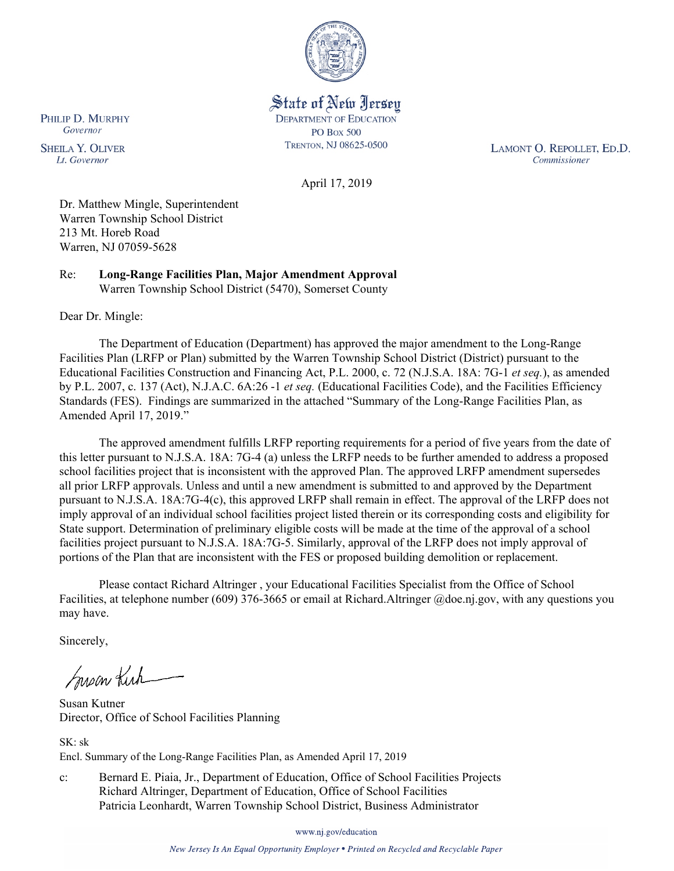

State of New Jersey **DEPARTMENT OF EDUCATION PO Box 500** TRENTON, NJ 08625-0500

LAMONT O. REPOLLET, ED.D. Commissioner

April 17, 2019

Dr. Matthew Mingle, Superintendent Warren Township School District 213 Mt. Horeb Road Warren, NJ 07059-5628

Re: **Long-Range Facilities Plan, Major Amendment Approval** Warren Township School District (5470), Somerset County

Dear Dr. Mingle:

The Department of Education (Department) has approved the major amendment to the Long-Range Facilities Plan (LRFP or Plan) submitted by the Warren Township School District (District) pursuant to the Educational Facilities Construction and Financing Act, P.L. 2000, c. 72 (N.J.S.A. 18A: 7G-1 *et seq.*), as amended by P.L. 2007, c. 137 (Act), N.J.A.C. 6A:26 -1 *et seq.* (Educational Facilities Code), and the Facilities Efficiency Standards (FES). Findings are summarized in the attached "Summary of the Long-Range Facilities Plan, as Amended April 17, 2019."

The approved amendment fulfills LRFP reporting requirements for a period of five years from the date of this letter pursuant to N.J.S.A. 18A: 7G-4 (a) unless the LRFP needs to be further amended to address a proposed school facilities project that is inconsistent with the approved Plan. The approved LRFP amendment supersedes all prior LRFP approvals. Unless and until a new amendment is submitted to and approved by the Department pursuant to N.J.S.A. 18A:7G-4(c), this approved LRFP shall remain in effect. The approval of the LRFP does not imply approval of an individual school facilities project listed therein or its corresponding costs and eligibility for State support. Determination of preliminary eligible costs will be made at the time of the approval of a school facilities project pursuant to N.J.S.A. 18A:7G-5. Similarly, approval of the LRFP does not imply approval of portions of the Plan that are inconsistent with the FES or proposed building demolition or replacement.

Please contact Richard Altringer , your Educational Facilities Specialist from the Office of School Facilities, at telephone number (609) 376-3665 or email at Richard.Altringer @doe.nj.gov, with any questions you may have.

Sincerely,

Susan Kich

Susan Kutner Director, Office of School Facilities Planning

 $SK \cdot sk$ Encl. Summary of the Long-Range Facilities Plan, as Amended April 17, 2019

c: Bernard E. Piaia, Jr., Department of Education, Office of School Facilities Projects Richard Altringer, Department of Education, Office of School Facilities Patricia Leonhardt, Warren Township School District, Business Administrator

www.nj.gov/education

New Jersey Is An Equal Opportunity Employer . Printed on Recycled and Recyclable Paper

PHILIP D. MURPHY Governor

**SHEILA Y. OLIVER** Lt. Governor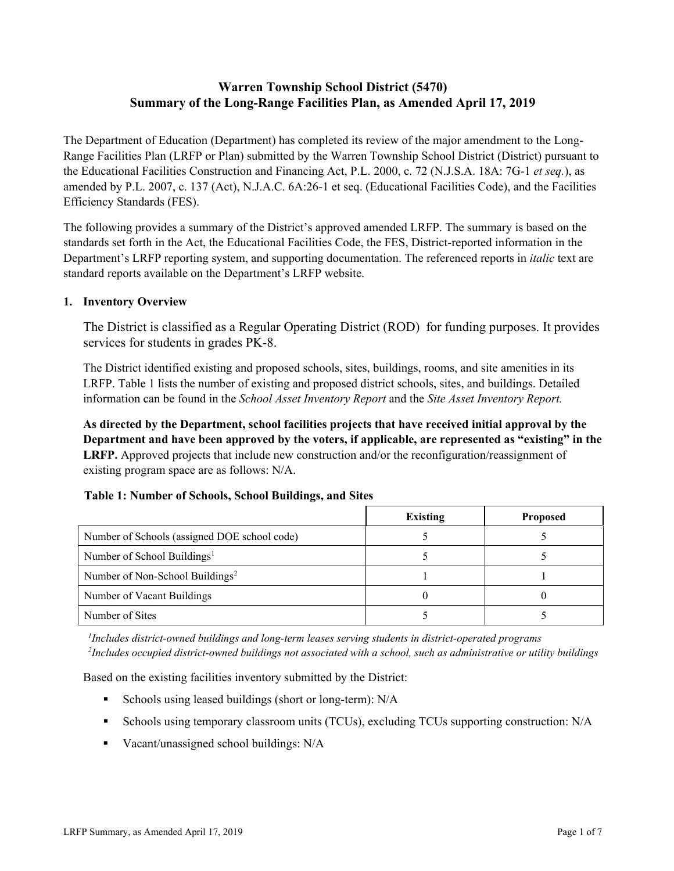# **Warren Township School District (5470) Summary of the Long-Range Facilities Plan, as Amended April 17, 2019**

The Department of Education (Department) has completed its review of the major amendment to the Long-Range Facilities Plan (LRFP or Plan) submitted by the Warren Township School District (District) pursuant to the Educational Facilities Construction and Financing Act, P.L. 2000, c. 72 (N.J.S.A. 18A: 7G-1 *et seq.*), as amended by P.L. 2007, c. 137 (Act), N.J.A.C. 6A:26-1 et seq. (Educational Facilities Code), and the Facilities Efficiency Standards (FES).

The following provides a summary of the District's approved amended LRFP. The summary is based on the standards set forth in the Act, the Educational Facilities Code, the FES, District-reported information in the Department's LRFP reporting system, and supporting documentation. The referenced reports in *italic* text are standard reports available on the Department's LRFP website.

#### **1. Inventory Overview**

The District is classified as a Regular Operating District (ROD) for funding purposes. It provides services for students in grades PK-8.

The District identified existing and proposed schools, sites, buildings, rooms, and site amenities in its LRFP. Table 1 lists the number of existing and proposed district schools, sites, and buildings. Detailed information can be found in the *School Asset Inventory Report* and the *Site Asset Inventory Report.*

**As directed by the Department, school facilities projects that have received initial approval by the Department and have been approved by the voters, if applicable, are represented as "existing" in the LRFP.** Approved projects that include new construction and/or the reconfiguration/reassignment of existing program space are as follows: N/A.

#### **Table 1: Number of Schools, School Buildings, and Sites**

|                                              | <b>Existing</b> | <b>Proposed</b> |
|----------------------------------------------|-----------------|-----------------|
| Number of Schools (assigned DOE school code) |                 |                 |
| Number of School Buildings <sup>1</sup>      |                 |                 |
| Number of Non-School Buildings <sup>2</sup>  |                 |                 |
| Number of Vacant Buildings                   |                 |                 |
| Number of Sites                              |                 |                 |

*1 Includes district-owned buildings and long-term leases serving students in district-operated programs 2 Includes occupied district-owned buildings not associated with a school, such as administrative or utility buildings*

Based on the existing facilities inventory submitted by the District:

- Schools using leased buildings (short or long-term): N/A
- Schools using temporary classroom units (TCUs), excluding TCUs supporting construction: N/A
- Vacant/unassigned school buildings: N/A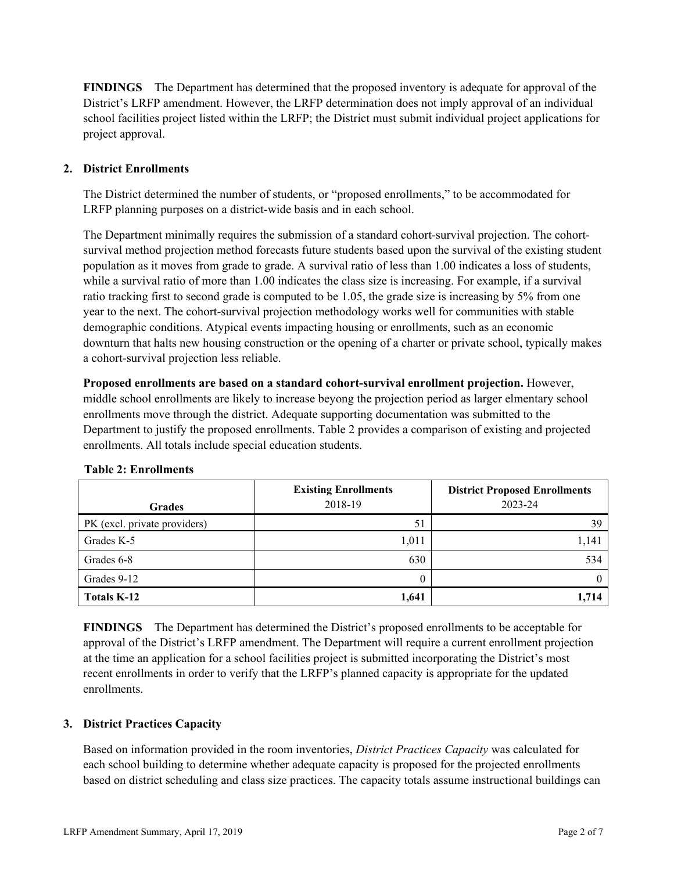**FINDINGS** The Department has determined that the proposed inventory is adequate for approval of the District's LRFP amendment. However, the LRFP determination does not imply approval of an individual school facilities project listed within the LRFP; the District must submit individual project applications for project approval.

# **2. District Enrollments**

The District determined the number of students, or "proposed enrollments," to be accommodated for LRFP planning purposes on a district-wide basis and in each school.

The Department minimally requires the submission of a standard cohort-survival projection. The cohortsurvival method projection method forecasts future students based upon the survival of the existing student population as it moves from grade to grade. A survival ratio of less than 1.00 indicates a loss of students, while a survival ratio of more than 1.00 indicates the class size is increasing. For example, if a survival ratio tracking first to second grade is computed to be 1.05, the grade size is increasing by 5% from one year to the next. The cohort-survival projection methodology works well for communities with stable demographic conditions. Atypical events impacting housing or enrollments, such as an economic downturn that halts new housing construction or the opening of a charter or private school, typically makes a cohort-survival projection less reliable.

**Proposed enrollments are based on a standard cohort-survival enrollment projection.** However, middle school enrollments are likely to increase beyong the projection period as larger elmentary school enrollments move through the district. Adequate supporting documentation was submitted to the Department to justify the proposed enrollments. Table 2 provides a comparison of existing and projected enrollments. All totals include special education students.

| Grades                       | <b>Existing Enrollments</b><br>2018-19 | <b>District Proposed Enrollments</b><br>2023-24 |
|------------------------------|----------------------------------------|-------------------------------------------------|
| PK (excl. private providers) | 51                                     | 39                                              |
| Grades K-5                   | 1,011                                  | 1,141                                           |
| Grades 6-8                   | 630                                    | 534                                             |
| Grades 9-12                  | 0                                      |                                                 |
| Totals K-12                  | 1,641                                  | 1,714                                           |

# **Table 2: Enrollments**

**FINDINGS** The Department has determined the District's proposed enrollments to be acceptable for approval of the District's LRFP amendment. The Department will require a current enrollment projection at the time an application for a school facilities project is submitted incorporating the District's most recent enrollments in order to verify that the LRFP's planned capacity is appropriate for the updated enrollments.

#### **3. District Practices Capacity**

Based on information provided in the room inventories, *District Practices Capacity* was calculated for each school building to determine whether adequate capacity is proposed for the projected enrollments based on district scheduling and class size practices. The capacity totals assume instructional buildings can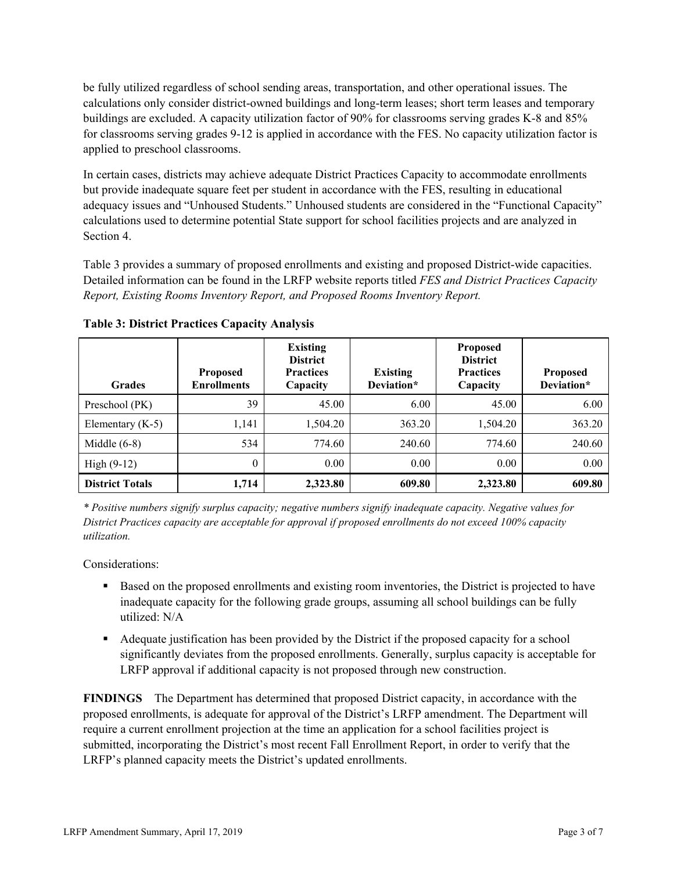be fully utilized regardless of school sending areas, transportation, and other operational issues. The calculations only consider district-owned buildings and long-term leases; short term leases and temporary buildings are excluded. A capacity utilization factor of 90% for classrooms serving grades K-8 and 85% for classrooms serving grades 9-12 is applied in accordance with the FES. No capacity utilization factor is applied to preschool classrooms.

In certain cases, districts may achieve adequate District Practices Capacity to accommodate enrollments but provide inadequate square feet per student in accordance with the FES, resulting in educational adequacy issues and "Unhoused Students." Unhoused students are considered in the "Functional Capacity" calculations used to determine potential State support for school facilities projects and are analyzed in Section 4.

Table 3 provides a summary of proposed enrollments and existing and proposed District-wide capacities. Detailed information can be found in the LRFP website reports titled *FES and District Practices Capacity Report, Existing Rooms Inventory Report, and Proposed Rooms Inventory Report.*

| <b>Grades</b>          | <b>Proposed</b><br><b>Enrollments</b> | <b>Existing</b><br><b>District</b><br><b>Practices</b><br>Capacity | <b>Existing</b><br>Deviation* | <b>Proposed</b><br><b>District</b><br><b>Practices</b><br>Capacity | <b>Proposed</b><br>Deviation* |
|------------------------|---------------------------------------|--------------------------------------------------------------------|-------------------------------|--------------------------------------------------------------------|-------------------------------|
| Preschool (PK)         | 39                                    | 45.00                                                              | 6.00                          | 45.00                                                              | 6.00                          |
| Elementary $(K-5)$     | 1,141                                 | 1,504.20                                                           | 363.20                        | 1,504.20                                                           | 363.20                        |
| Middle $(6-8)$         | 534                                   | 774.60                                                             | 240.60                        | 774.60                                                             | 240.60                        |
| High $(9-12)$          | $\theta$                              | $0.00\,$                                                           | 0.00                          | 0.00                                                               | 0.00                          |
| <b>District Totals</b> | 1,714                                 | 2,323.80                                                           | 609.80                        | 2,323.80                                                           | 609.80                        |

**Table 3: District Practices Capacity Analysis**

*\* Positive numbers signify surplus capacity; negative numbers signify inadequate capacity. Negative values for District Practices capacity are acceptable for approval if proposed enrollments do not exceed 100% capacity utilization.*

Considerations:

- **Based on the proposed enrollments and existing room inventories, the District is projected to have** inadequate capacity for the following grade groups, assuming all school buildings can be fully utilized: N/A
- Adequate justification has been provided by the District if the proposed capacity for a school significantly deviates from the proposed enrollments. Generally, surplus capacity is acceptable for LRFP approval if additional capacity is not proposed through new construction.

**FINDINGS**The Department has determined that proposed District capacity, in accordance with the proposed enrollments, is adequate for approval of the District's LRFP amendment. The Department will require a current enrollment projection at the time an application for a school facilities project is submitted, incorporating the District's most recent Fall Enrollment Report, in order to verify that the LRFP's planned capacity meets the District's updated enrollments.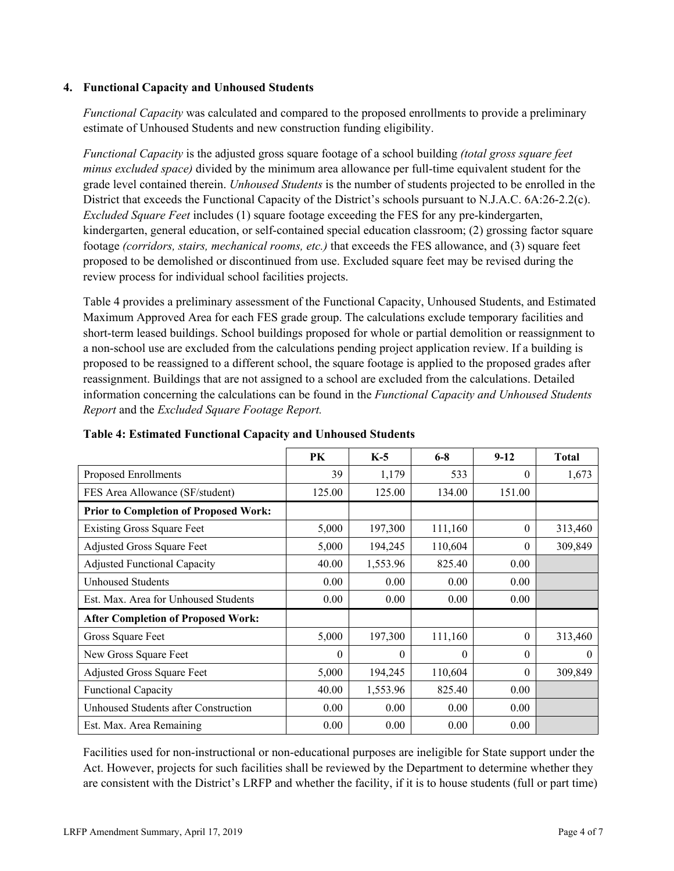### **4. Functional Capacity and Unhoused Students**

*Functional Capacity* was calculated and compared to the proposed enrollments to provide a preliminary estimate of Unhoused Students and new construction funding eligibility.

*Functional Capacity* is the adjusted gross square footage of a school building *(total gross square feet minus excluded space)* divided by the minimum area allowance per full-time equivalent student for the grade level contained therein. *Unhoused Students* is the number of students projected to be enrolled in the District that exceeds the Functional Capacity of the District's schools pursuant to N.J.A.C. 6A:26-2.2(c). *Excluded Square Feet* includes (1) square footage exceeding the FES for any pre-kindergarten, kindergarten, general education, or self-contained special education classroom; (2) grossing factor square footage *(corridors, stairs, mechanical rooms, etc.)* that exceeds the FES allowance, and (3) square feet proposed to be demolished or discontinued from use. Excluded square feet may be revised during the review process for individual school facilities projects.

Table 4 provides a preliminary assessment of the Functional Capacity, Unhoused Students, and Estimated Maximum Approved Area for each FES grade group. The calculations exclude temporary facilities and short-term leased buildings. School buildings proposed for whole or partial demolition or reassignment to a non-school use are excluded from the calculations pending project application review. If a building is proposed to be reassigned to a different school, the square footage is applied to the proposed grades after reassignment. Buildings that are not assigned to a school are excluded from the calculations. Detailed information concerning the calculations can be found in the *Functional Capacity and Unhoused Students Report* and the *Excluded Square Footage Report.*

|                                              | PK       | $K-5$    | $6 - 8$  | $9-12$   | <b>Total</b> |
|----------------------------------------------|----------|----------|----------|----------|--------------|
| Proposed Enrollments                         | 39       | 1,179    | 533      | $\theta$ | 1,673        |
| FES Area Allowance (SF/student)              | 125.00   | 125.00   | 134.00   | 151.00   |              |
| <b>Prior to Completion of Proposed Work:</b> |          |          |          |          |              |
| <b>Existing Gross Square Feet</b>            | 5,000    | 197,300  | 111,160  | $\theta$ | 313,460      |
| Adjusted Gross Square Feet                   | 5,000    | 194,245  | 110,604  | $\theta$ | 309,849      |
| Adjusted Functional Capacity                 | 40.00    | 1,553.96 | 825.40   | 0.00     |              |
| <b>Unhoused Students</b>                     | 0.00     | 0.00     | 0.00     | 0.00     |              |
| Est. Max. Area for Unhoused Students         | 0.00     | 0.00     | 0.00     | 0.00     |              |
| <b>After Completion of Proposed Work:</b>    |          |          |          |          |              |
| Gross Square Feet                            | 5,000    | 197,300  | 111,160  | $\theta$ | 313,460      |
| New Gross Square Feet                        | $\theta$ | $\Omega$ | $\Omega$ | $\Omega$ | $\theta$     |
| Adjusted Gross Square Feet                   | 5,000    | 194,245  | 110,604  | $\Omega$ | 309,849      |
| <b>Functional Capacity</b>                   | 40.00    | 1,553.96 | 825.40   | 0.00     |              |
| Unhoused Students after Construction         | 0.00     | 0.00     | 0.00     | 0.00     |              |
| Est. Max. Area Remaining                     | 0.00     | 0.00     | 0.00     | 0.00     |              |

**Table 4: Estimated Functional Capacity and Unhoused Students** 

Facilities used for non-instructional or non-educational purposes are ineligible for State support under the Act. However, projects for such facilities shall be reviewed by the Department to determine whether they are consistent with the District's LRFP and whether the facility, if it is to house students (full or part time)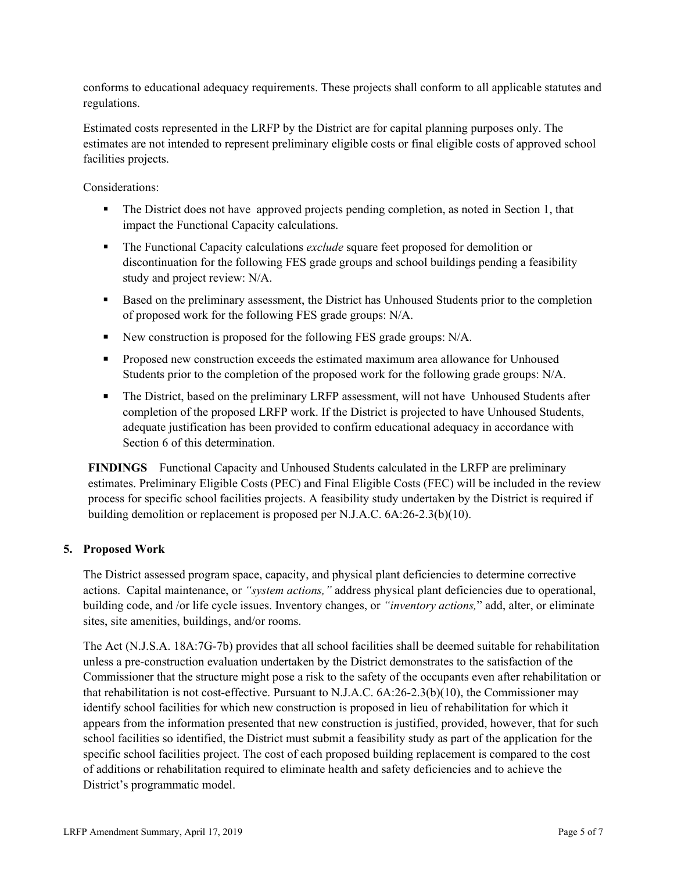conforms to educational adequacy requirements. These projects shall conform to all applicable statutes and regulations.

Estimated costs represented in the LRFP by the District are for capital planning purposes only. The estimates are not intended to represent preliminary eligible costs or final eligible costs of approved school facilities projects.

Considerations:

- The District does not have approved projects pending completion, as noted in Section 1, that impact the Functional Capacity calculations.
- **The Functional Capacity calculations** *exclude* square feet proposed for demolition or discontinuation for the following FES grade groups and school buildings pending a feasibility study and project review: N/A.
- Based on the preliminary assessment, the District has Unhoused Students prior to the completion of proposed work for the following FES grade groups: N/A.
- New construction is proposed for the following FES grade groups: N/A.
- **Proposed new construction exceeds the estimated maximum area allowance for Unhoused** Students prior to the completion of the proposed work for the following grade groups: N/A.
- The District, based on the preliminary LRFP assessment, will not have Unhoused Students after completion of the proposed LRFP work. If the District is projected to have Unhoused Students, adequate justification has been provided to confirm educational adequacy in accordance with Section 6 of this determination.

**FINDINGS** Functional Capacity and Unhoused Students calculated in the LRFP are preliminary estimates. Preliminary Eligible Costs (PEC) and Final Eligible Costs (FEC) will be included in the review process for specific school facilities projects. A feasibility study undertaken by the District is required if building demolition or replacement is proposed per N.J.A.C. 6A:26-2.3(b)(10).

# **5. Proposed Work**

The District assessed program space, capacity, and physical plant deficiencies to determine corrective actions. Capital maintenance, or *"system actions,"* address physical plant deficiencies due to operational, building code, and /or life cycle issues. Inventory changes, or *"inventory actions,*" add, alter, or eliminate sites, site amenities, buildings, and/or rooms.

The Act (N.J.S.A. 18A:7G-7b) provides that all school facilities shall be deemed suitable for rehabilitation unless a pre-construction evaluation undertaken by the District demonstrates to the satisfaction of the Commissioner that the structure might pose a risk to the safety of the occupants even after rehabilitation or that rehabilitation is not cost-effective. Pursuant to N.J.A.C. 6A:26-2.3(b)(10), the Commissioner may identify school facilities for which new construction is proposed in lieu of rehabilitation for which it appears from the information presented that new construction is justified, provided, however, that for such school facilities so identified, the District must submit a feasibility study as part of the application for the specific school facilities project. The cost of each proposed building replacement is compared to the cost of additions or rehabilitation required to eliminate health and safety deficiencies and to achieve the District's programmatic model.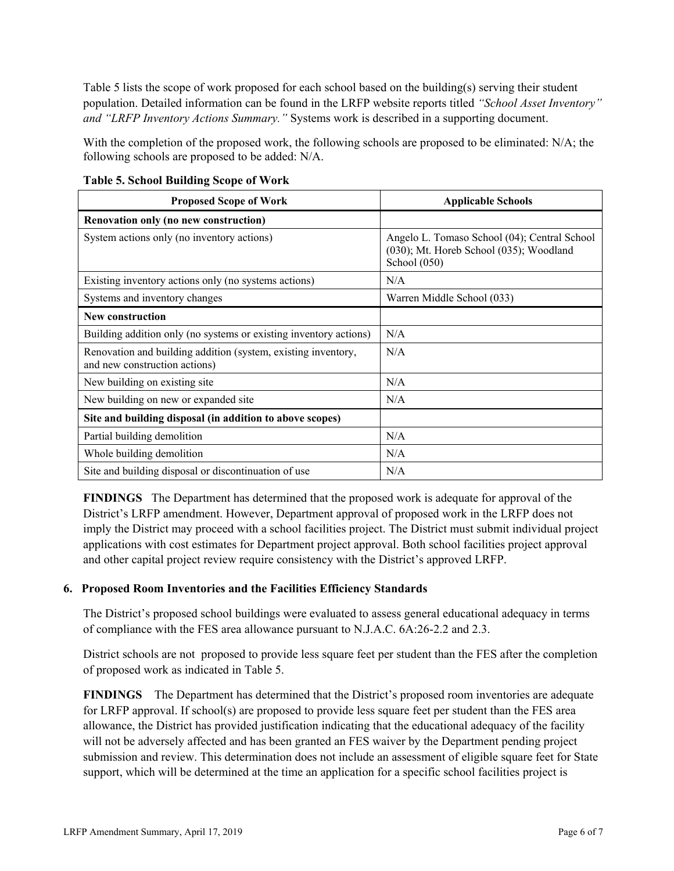Table 5 lists the scope of work proposed for each school based on the building(s) serving their student population. Detailed information can be found in the LRFP website reports titled *"School Asset Inventory" and "LRFP Inventory Actions Summary."* Systems work is described in a supporting document.

With the completion of the proposed work, the following schools are proposed to be eliminated: N/A; the following schools are proposed to be added: N/A.

| <b>Proposed Scope of Work</b>                                                                  | <b>Applicable Schools</b>                                                                               |
|------------------------------------------------------------------------------------------------|---------------------------------------------------------------------------------------------------------|
| Renovation only (no new construction)                                                          |                                                                                                         |
| System actions only (no inventory actions)                                                     | Angelo L. Tomaso School (04); Central School<br>(030); Mt. Horeb School (035); Woodland<br>School (050) |
| Existing inventory actions only (no systems actions)                                           | N/A                                                                                                     |
| Systems and inventory changes                                                                  | Warren Middle School (033)                                                                              |
| <b>New construction</b>                                                                        |                                                                                                         |
| Building addition only (no systems or existing inventory actions)                              | N/A                                                                                                     |
| Renovation and building addition (system, existing inventory,<br>and new construction actions) | N/A                                                                                                     |
| New building on existing site                                                                  | N/A                                                                                                     |
| New building on new or expanded site                                                           | N/A                                                                                                     |
| Site and building disposal (in addition to above scopes)                                       |                                                                                                         |
| Partial building demolition                                                                    | N/A                                                                                                     |
| Whole building demolition                                                                      | N/A                                                                                                     |
| Site and building disposal or discontinuation of use                                           | N/A                                                                                                     |

**Table 5. School Building Scope of Work**

**FINDINGS** The Department has determined that the proposed work is adequate for approval of the District's LRFP amendment. However, Department approval of proposed work in the LRFP does not imply the District may proceed with a school facilities project. The District must submit individual project applications with cost estimates for Department project approval. Both school facilities project approval and other capital project review require consistency with the District's approved LRFP.

# **6. Proposed Room Inventories and the Facilities Efficiency Standards**

The District's proposed school buildings were evaluated to assess general educational adequacy in terms of compliance with the FES area allowance pursuant to N.J.A.C. 6A:26-2.2 and 2.3.

District schools are not proposed to provide less square feet per student than the FES after the completion of proposed work as indicated in Table 5.

**FINDINGS** The Department has determined that the District's proposed room inventories are adequate for LRFP approval. If school(s) are proposed to provide less square feet per student than the FES area allowance, the District has provided justification indicating that the educational adequacy of the facility will not be adversely affected and has been granted an FES waiver by the Department pending project submission and review. This determination does not include an assessment of eligible square feet for State support, which will be determined at the time an application for a specific school facilities project is